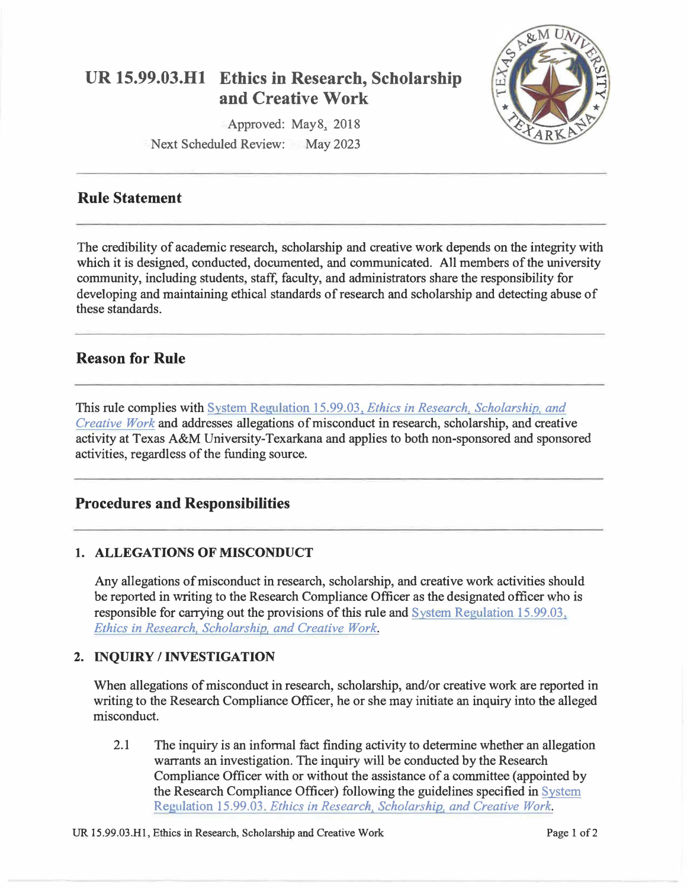

# **UR 15.99.03.Hl Ethics in Research, Scholarship and Creative Work**

Approved: May8, 2018

Next Scheduled Review: May 2023

## **Rule Statement**

The credibility of academic research, scholarship and creative work depends on the integrity with which it is designed, conducted, documented, and communicated. All members of the university community, including students, staff, faculty, and administrators share the responsibility for developing and maintaining ethical standards of research and scholarship and detecting abuse of these standards.

## **Reason for Rule**

This rule complies with System Regulation 15.99.03, *Ethics in Research, Scholarship, and [Creative Work](http://policies.tamus.edu/15-99-03.pdf)* and addresses allegations of misconduct in research, scholarship, and creative activity at Texas A&M University-Texarkana and applies to both non-sponsored and sponsored activities, regardless of the funding source.

## **Procedures and Responsibilities**

### **1. ALLEGATIONS OF MISCONDUCT**

Any allegations of misconduct in research, scholarship, and creative work activities should be reported in writing to the Research Compliance Officer as the designated officer who is responsible for carrying out the provisions of this rule and [System Regulation 15.99.03,](http://policies.tamus.edu/15-99-03.pdf)  *[Ethics in Research, Scholarship, and Creative Work](http://policies.tamus.edu/15-99-03.pdf).* 

### **2. INQUIRY/ INVESTIGATION**

When allegations of misconduct in research, scholarship, and/or creative work are reported in writing to the Research Compliance Officer, he or she may initiate an inquiry into the alleged misconduct.

2.1 The inquiry is an informal fact finding activity to determine whether an allegation warrants an investigation. The inquiry will be conducted by the Research Compliance Officer with or without the assistance of a committee (appointed by the Research Compliance Officer) following the guidelines specified in [System](http://policies.tamus.edu/15-99-03.pdf)  Regulation 15.99.03. *[Ethics in Research. Scholarship, and Creative Work.](http://policies.tamus.edu/15-99-03.pdf)*